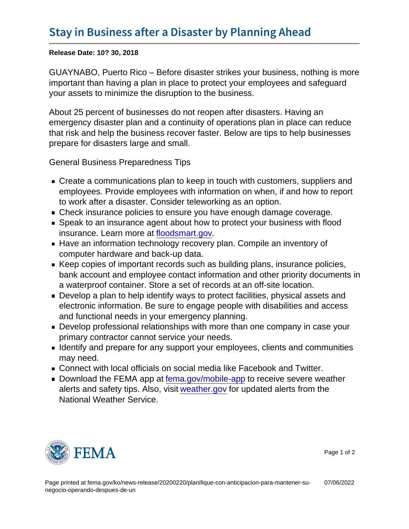Release Date: 10? 30, 2018

GUAYNABO, Puerto Rico – Before disaster strikes your business, nothing is more important than having a plan in place to protect your employees and safeguard your assets to minimize the disruption to the business.

About 25 percent of businesses do not reopen after disasters. Having an emergency disaster plan and a continuity of operations plan in place can reduce that risk and help the business recover faster. Below are tips to help businesses prepare for disasters large and small.

General Business Preparedness Tips

- **Create a communications plan to keep in touch with customers, suppliers and** employees. Provide employees with information on when, if and how to report to work after a disaster. Consider teleworking as an option.
- Check insurance policies to ensure you have enough damage coverage.
- Speak to an insurance agent about how to protect your business with flood insurance. Learn more at [floodsmart.gov](https://www.floodsmart.gov/).
- Have an information technology recovery plan. Compile an inventory of computer hardware and back-up data.
- Keep copies of important records such as building plans, insurance policies, bank account and employee contact information and other priority documents in a waterproof container. Store a set of records at an off-site location.
- Develop a plan to help identify ways to protect facilities, physical assets and electronic information. Be sure to engage people with disabilities and access and functional needs in your emergency planning.
- Develop professional relationships with more than one company in case your primary contractor cannot service your needs.
- **I** Identify and prepare for any support your employees, clients and communities may need.
- Connect with local officials on social media like Facebook and Twitter.
- Download the FEMA app at [fema.gov/mobile-app](https://fema.gov/mobile-app) to receive severe weather alerts and safety tips. Also, visit [weather.gov](https://weather.gov/) for updated alerts from the National Weather Service.



Page 1 of 2